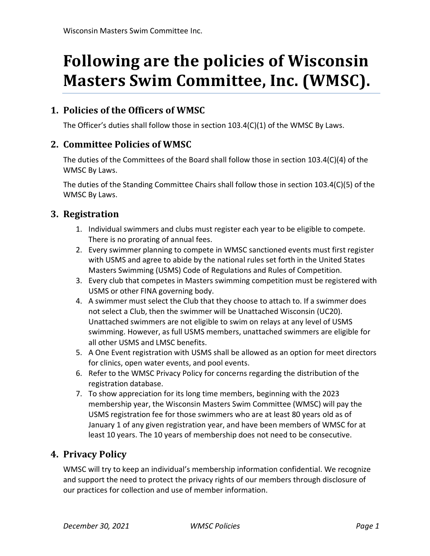# **Following are the policies of Wisconsin Masters Swim Committee, Inc. (WMSC).**

## **1. Policies of the Officers of WMSC**

The Officer's duties shall follow those in section 103.4(C)(1) of the WMSC By Laws.

## **2. Committee Policies of WMSC**

The duties of the Committees of the Board shall follow those in section 103.4(C)(4) of the WMSC By Laws.

The duties of the Standing Committee Chairs shall follow those in section 103.4(C)(5) of the WMSC By Laws.

## **3. Registration**

- 1. Individual swimmers and clubs must register each year to be eligible to compete. There is no prorating of annual fees.
- 2. Every swimmer planning to compete in WMSC sanctioned events must first register with USMS and agree to abide by the national rules set forth in the United States Masters Swimming (USMS) Code of Regulations and Rules of Competition.
- 3. Every club that competes in Masters swimming competition must be registered with USMS or other FINA governing body.
- 4. A swimmer must select the Club that they choose to attach to. If a swimmer does not select a Club, then the swimmer will be Unattached Wisconsin (UC20). Unattached swimmers are not eligible to swim on relays at any level of USMS swimming. However, as full USMS members, unattached swimmers are eligible for all other USMS and LMSC benefits.
- 5. A One Event registration with USMS shall be allowed as an option for meet directors for clinics, open water events, and pool events.
- 6. Refer to the WMSC Privacy Policy for concerns regarding the distribution of the registration database.
- 7. To show appreciation for its long time members, beginning with the 2023 membership year, the Wisconsin Masters Swim Committee (WMSC) will pay the USMS registration fee for those swimmers who are at least 80 years old as of January 1 of any given registration year, and have been members of WMSC for at least 10 years. The 10 years of membership does not need to be consecutive.

## **4. Privacy Policy**

WMSC will try to keep an individual's membership information confidential. We recognize and support the need to protect the privacy rights of our members through disclosure of our practices for collection and use of member information.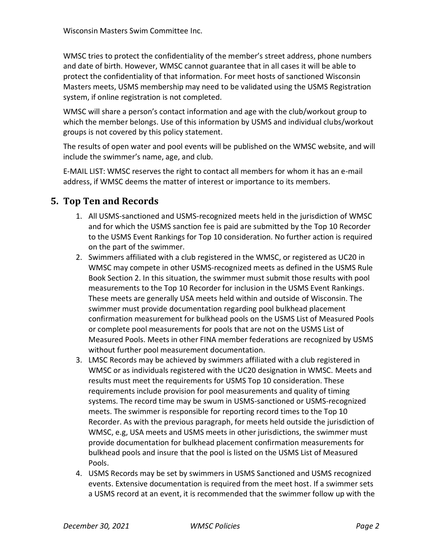WMSC tries to protect the confidentiality of the member's street address, phone numbers and date of birth. However, WMSC cannot guarantee that in all cases it will be able to protect the confidentiality of that information. For meet hosts of sanctioned Wisconsin Masters meets, USMS membership may need to be validated using the USMS Registration system, if online registration is not completed.

WMSC will share a person's contact information and age with the club/workout group to which the member belongs. Use of this information by USMS and individual clubs/workout groups is not covered by this policy statement.

The results of open water and pool events will be published on the WMSC website, and will include the swimmer's name, age, and club.

E-MAIL LIST: WMSC reserves the right to contact all members for whom it has an e-mail address, if WMSC deems the matter of interest or importance to its members.

## **5. Top Ten and Records**

- 1. All USMS-sanctioned and USMS-recognized meets held in the jurisdiction of WMSC and for which the USMS sanction fee is paid are submitted by the Top 10 Recorder to the USMS Event Rankings for Top 10 consideration. No further action is required on the part of the swimmer.
- 2. Swimmers affiliated with a club registered in the WMSC, or registered as UC20 in WMSC may compete in other USMS-recognized meets as defined in the USMS Rule Book Section 2. In this situation, the swimmer must submit those results with pool measurements to the Top 10 Recorder for inclusion in the USMS Event Rankings. These meets are generally USA meets held within and outside of Wisconsin. The swimmer must provide documentation regarding pool bulkhead placement confirmation measurement for bulkhead pools on the USMS List of Measured Pools or complete pool measurements for pools that are not on the USMS List of Measured Pools. Meets in other FINA member federations are recognized by USMS without further pool measurement documentation.
- 3. LMSC Records may be achieved by swimmers affiliated with a club registered in WMSC or as individuals registered with the UC20 designation in WMSC. Meets and results must meet the requirements for USMS Top 10 consideration. These requirements include provision for pool measurements and quality of timing systems. The record time may be swum in USMS-sanctioned or USMS-recognized meets. The swimmer is responsible for reporting record times to the Top 10 Recorder. As with the previous paragraph, for meets held outside the jurisdiction of WMSC, e.g, USA meets and USMS meets in other jurisdictions, the swimmer must provide documentation for bulkhead placement confirmation measurements for bulkhead pools and insure that the pool is listed on the USMS List of Measured Pools.
- 4. USMS Records may be set by swimmers in USMS Sanctioned and USMS recognized events. Extensive documentation is required from the meet host. If a swimmer sets a USMS record at an event, it is recommended that the swimmer follow up with the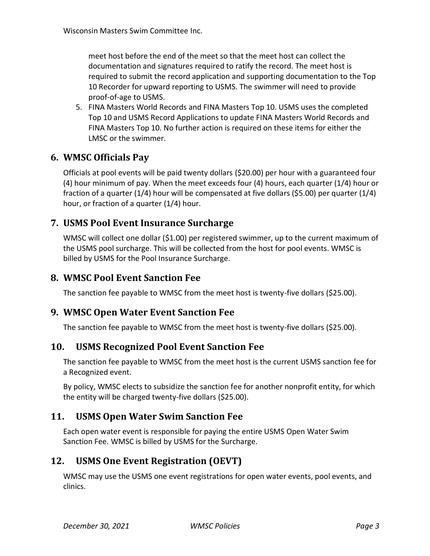meet host before the end of the meet so that the meet host can collect the documentation and signatures required to ratify the record. The meet host is required to submit the record application and supporting documentation to the Top 10 Recorder for upward reporting to USMS. The swimmer will need to provide proof-of-age to USMS.

5. FINA Masters World Records and FINA Masters Top 10. USMS uses the completed Top 10 and USMS Record Applications to update FINA Masters World Records and FINA Masters Top 10. No further action is required on these items for either the LMSC or the swimmer.

## **6. WMSC Officials Pay**

Officials at pool events will be paid twenty dollars (\$20.00) per hour with a guaranteed four (4) hour minimum of pay. When the meet exceeds four (4) hours, each quarter (1/4) hour or fraction of a quarter (1/4) hour will be compensated at five dollars (\$5.00) per quarter (1/4) hour, or fraction of a quarter (1/4) hour.

## **7. USMS Pool Event Insurance Surcharge**

WMSC will collect one dollar (\$1.00) per registered swimmer, up to the current maximum of the USMS pool surcharge. This will be collected from the host for pool events. WMSC is billed by USMS for the Pool Insurance Surcharge.

### **8. WMSC Pool Event Sanction Fee**

The sanction fee payable to WMSC from the meet host is twenty-five dollars (\$25.00).

#### **9. WMSC Open Water Event Sanction Fee**

The sanction fee payable to WMSC from the meet host is twenty-five dollars (\$25.00).

#### **10. USMS Recognized Pool Event Sanction Fee**

The sanction fee payable to WMSC from the meet host is the current USMS sanction fee for a Recognized event.

By policy, WMSC elects to subsidize the sanction fee for another nonprofit entity, for which the entity will be charged twenty-five dollars (\$25.00).

## **11. USMS Open Water Swim Sanction Fee**

Each open water event is responsible for paying the entire USMS Open Water Swim Sanction Fee. WMSC is billed by USMS for the Surcharge.

## **12. USMS One Event Registration (OEVT)**

WMSC may use the USMS one event registrations for open water events, pool events, and clinics.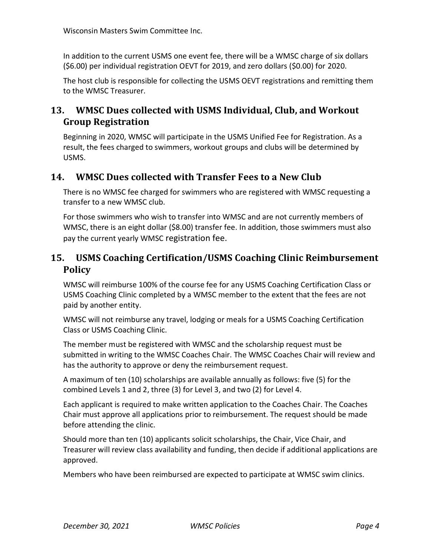In addition to the current USMS one event fee, there will be a WMSC charge of six dollars (\$6.00) per individual registration OEVT for 2019, and zero dollars (\$0.00) for 2020.

The host club is responsible for collecting the USMS OEVT registrations and remitting them to the WMSC Treasurer.

# **13. WMSC Dues collected with USMS Individual, Club, and Workout Group Registration**

Beginning in 2020, WMSC will participate in the USMS Unified Fee for Registration. As a result, the fees charged to swimmers, workout groups and clubs will be determined by USMS.

# **14. WMSC Dues collected with Transfer Fees to a New Club**

There is no WMSC fee charged for swimmers who are registered with WMSC requesting a transfer to a new WMSC club.

For those swimmers who wish to transfer into WMSC and are not currently members of WMSC, there is an eight dollar (\$8.00) transfer fee. In addition, those swimmers must also pay the current yearly WMSC registration fee.

# **15. USMS Coaching Certification/USMS Coaching Clinic Reimbursement Policy**

WMSC will reimburse 100% of the course fee for any USMS Coaching Certification Class or USMS Coaching Clinic completed by a WMSC member to the extent that the fees are not paid by another entity.

WMSC will not reimburse any travel, lodging or meals for a USMS Coaching Certification Class or USMS Coaching Clinic.

The member must be registered with WMSC and the scholarship request must be submitted in writing to the WMSC Coaches Chair. The WMSC Coaches Chair will review and has the authority to approve or deny the reimbursement request.

A maximum of ten (10) scholarships are available annually as follows: five (5) for the combined Levels 1 and 2, three (3) for Level 3, and two (2) for Level 4.

Each applicant is required to make written application to the Coaches Chair. The Coaches Chair must approve all applications prior to reimbursement. The request should be made before attending the clinic.

Should more than ten (10) applicants solicit scholarships, the Chair, Vice Chair, and Treasurer will review class availability and funding, then decide if additional applications are approved.

Members who have been reimbursed are expected to participate at WMSC swim clinics.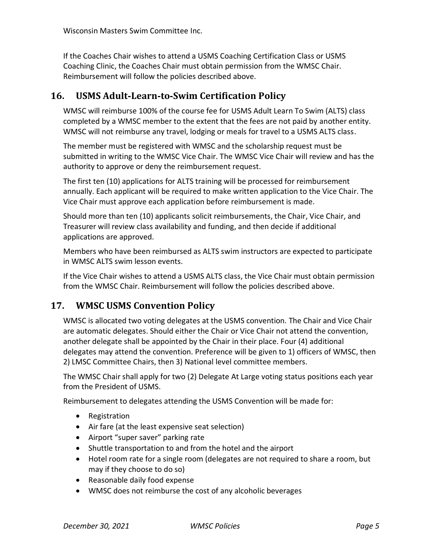If the Coaches Chair wishes to attend a USMS Coaching Certification Class or USMS Coaching Clinic, the Coaches Chair must obtain permission from the WMSC Chair. Reimbursement will follow the policies described above.

## **16. USMS Adult**‐**Learn**‐**to**‐**Swim Certification Policy**

WMSC will reimburse 100% of the course fee for USMS Adult Learn To Swim (ALTS) class completed by a WMSC member to the extent that the fees are not paid by another entity. WMSC will not reimburse any travel, lodging or meals for travel to a USMS ALTS class.

The member must be registered with WMSC and the scholarship request must be submitted in writing to the WMSC Vice Chair. The WMSC Vice Chair will review and has the authority to approve or deny the reimbursement request.

The first ten (10) applications for ALTS training will be processed for reimbursement annually. Each applicant will be required to make written application to the Vice Chair. The Vice Chair must approve each application before reimbursement is made.

Should more than ten (10) applicants solicit reimbursements, the Chair, Vice Chair, and Treasurer will review class availability and funding, and then decide if additional applications are approved.

Members who have been reimbursed as ALTS swim instructors are expected to participate in WMSC ALTS swim lesson events.

If the Vice Chair wishes to attend a USMS ALTS class, the Vice Chair must obtain permission from the WMSC Chair. Reimbursement will follow the policies described above.

# **17. WMSC USMS Convention Policy**

WMSC is allocated two voting delegates at the USMS convention. The Chair and Vice Chair are automatic delegates. Should either the Chair or Vice Chair not attend the convention, another delegate shall be appointed by the Chair in their place. Four (4) additional delegates may attend the convention. Preference will be given to 1) officers of WMSC, then 2) LMSC Committee Chairs, then 3) National level committee members.

The WMSC Chair shall apply for two (2) Delegate At Large voting status positions each year from the President of USMS.

Reimbursement to delegates attending the USMS Convention will be made for:

- Registration
- Air fare (at the least expensive seat selection)
- Airport "super saver" parking rate
- Shuttle transportation to and from the hotel and the airport
- Hotel room rate for a single room (delegates are not required to share a room, but may if they choose to do so)
- Reasonable daily food expense
- WMSC does not reimburse the cost of any alcoholic beverages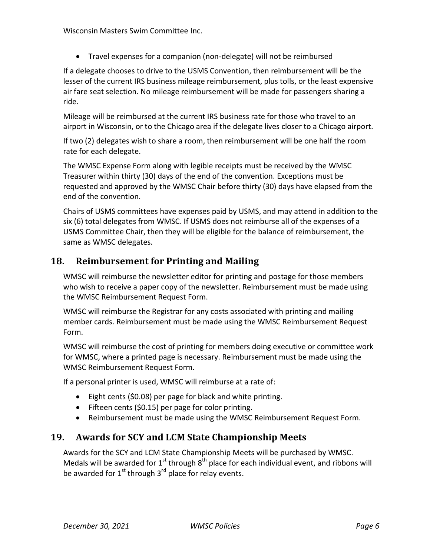Travel expenses for a companion (non-delegate) will not be reimbursed

If a delegate chooses to drive to the USMS Convention, then reimbursement will be the lesser of the current IRS business mileage reimbursement, plus tolls, or the least expensive air fare seat selection. No mileage reimbursement will be made for passengers sharing a ride.

Mileage will be reimbursed at the current IRS business rate for those who travel to an airport in Wisconsin, or to the Chicago area if the delegate lives closer to a Chicago airport.

If two (2) delegates wish to share a room, then reimbursement will be one half the room rate for each delegate.

The WMSC Expense Form along with legible receipts must be received by the WMSC Treasurer within thirty (30) days of the end of the convention. Exceptions must be requested and approved by the WMSC Chair before thirty (30) days have elapsed from the end of the convention.

Chairs of USMS committees have expenses paid by USMS, and may attend in addition to the six (6) total delegates from WMSC. If USMS does not reimburse all of the expenses of a USMS Committee Chair, then they will be eligible for the balance of reimbursement, the same as WMSC delegates.

# **18. Reimbursement for Printing and Mailing**

WMSC will reimburse the newsletter editor for printing and postage for those members who wish to receive a paper copy of the newsletter. Reimbursement must be made using the WMSC Reimbursement Request Form.

WMSC will reimburse the Registrar for any costs associated with printing and mailing member cards. Reimbursement must be made using the WMSC Reimbursement Request Form.

WMSC will reimburse the cost of printing for members doing executive or committee work for WMSC, where a printed page is necessary. Reimbursement must be made using the WMSC Reimbursement Request Form.

If a personal printer is used, WMSC will reimburse at a rate of:

- Eight cents (\$0.08) per page for black and white printing.
- $\bullet$  Fifteen cents (\$0.15) per page for color printing.
- Reimbursement must be made using the WMSC Reimbursement Request Form.

# **19. Awards for SCY and LCM State Championship Meets**

Awards for the SCY and LCM State Championship Meets will be purchased by WMSC. Medals will be awarded for  $1^{st}$  through  $8^{th}$  place for each individual event, and ribbons will be awarded for  $1^{st}$  through  $3^{rd}$  place for relay events.